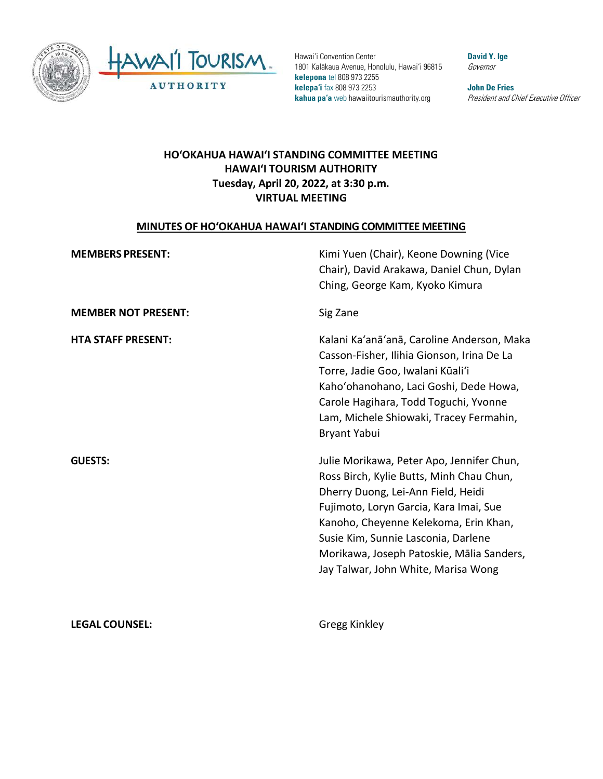



Hawai'i Convention Center 1801 Kalākaua Avenue, Honolulu, Hawai'i 96815 **kelepona** tel 808 973 2255 **kelepa'i** fax 808 973 2253 **kahua pa'a** web hawaiitourismauthority.org

**David Y. Ige** Governor

**John De Fries** President and Chief Executive Officer

### **HO'OKAHUA HAWAI'I STANDING COMMITTEE MEETING HAWAI'I TOURISM AUTHORITY Tuesday, April 20, 2022, at 3:30 p.m. VIRTUAL MEETING**

#### **MINUTES OF HO'OKAHUA HAWAI'I STANDING COMMITTEE MEETING**

| <b>MEMBERS PRESENT:</b>    | Kimi Yuen (Chair), Keone Downing (Vice<br>Chair), David Arakawa, Daniel Chun, Dylan<br>Ching, George Kam, Kyoko Kimura                                                                                                                                                                                                                    |
|----------------------------|-------------------------------------------------------------------------------------------------------------------------------------------------------------------------------------------------------------------------------------------------------------------------------------------------------------------------------------------|
| <b>MEMBER NOT PRESENT:</b> | Sig Zane                                                                                                                                                                                                                                                                                                                                  |
| <b>HTA STAFF PRESENT:</b>  | Kalani Ka'anā'anā, Caroline Anderson, Maka<br>Casson-Fisher, Ilihia Gionson, Irina De La<br>Torre, Jadie Goo, Iwalani Kūali'i<br>Kaho'ohanohano, Laci Goshi, Dede Howa,<br>Carole Hagihara, Todd Toguchi, Yvonne<br>Lam, Michele Shiowaki, Tracey Fermahin,<br>Bryant Yabui                                                               |
| <b>GUESTS:</b>             | Julie Morikawa, Peter Apo, Jennifer Chun,<br>Ross Birch, Kylie Butts, Minh Chau Chun,<br>Dherry Duong, Lei-Ann Field, Heidi<br>Fujimoto, Loryn Garcia, Kara Imai, Sue<br>Kanoho, Cheyenne Kelekoma, Erin Khan,<br>Susie Kim, Sunnie Lasconia, Darlene<br>Morikawa, Joseph Patoskie, Mālia Sanders,<br>Jay Talwar, John White, Marisa Wong |
| <b>LEGAL COUNSEL:</b>      | Gregg Kinkley                                                                                                                                                                                                                                                                                                                             |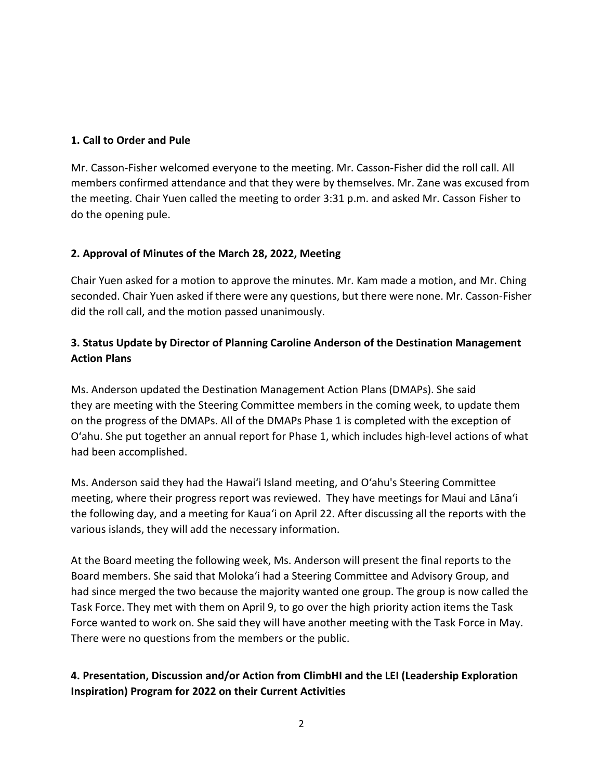#### **1. Call to Order and Pule**

Mr. Casson-Fisher welcomed everyone to the meeting. Mr. Casson-Fisher did the roll call. All members confirmed attendance and that they were by themselves. Mr. Zane was excused from the meeting. Chair Yuen called the meeting to order 3:31 p.m. and asked Mr. Casson Fisher to do the opening pule.

### **2. Approval of Minutes of the March 28, 2022, Meeting**

Chair Yuen asked for a motion to approve the minutes. Mr. Kam made a motion, and Mr. Ching seconded. Chair Yuen asked if there were any questions, but there were none. Mr. Casson-Fisher did the roll call, and the motion passed unanimously.

# **3. Status Update by Director of Planning Caroline Anderson of the Destination Management Action Plans**

Ms. Anderson updated the Destination Management Action Plans (DMAPs). She said they are meeting with the Steering Committee members in the coming week, to update them on the progress of the DMAPs. All of the DMAPs Phase 1 is completed with the exception of O'ahu. She put together an annual report for Phase 1, which includes high-level actions of what had been accomplished.

Ms. Anderson said they had the Hawai'i Island meeting, and O'ahu's Steering Committee meeting, where their progress report was reviewed. They have meetings for Maui and Lāna'i the following day, and a meeting for Kaua'i on April 22. After discussing all the reports with the various islands, they will add the necessary information.

At the Board meeting the following week, Ms. Anderson will present the final reports to the Board members. She said that Moloka'i had a Steering Committee and Advisory Group, and had since merged the two because the majority wanted one group. The group is now called the Task Force. They met with them on April 9, to go over the high priority action items the Task Force wanted to work on. She said they will have another meeting with the Task Force in May. There were no questions from the members or the public.

# **4. Presentation, Discussion and/or Action from ClimbHI and the LEI (Leadership Exploration Inspiration) Program for 2022 on their Current Activities**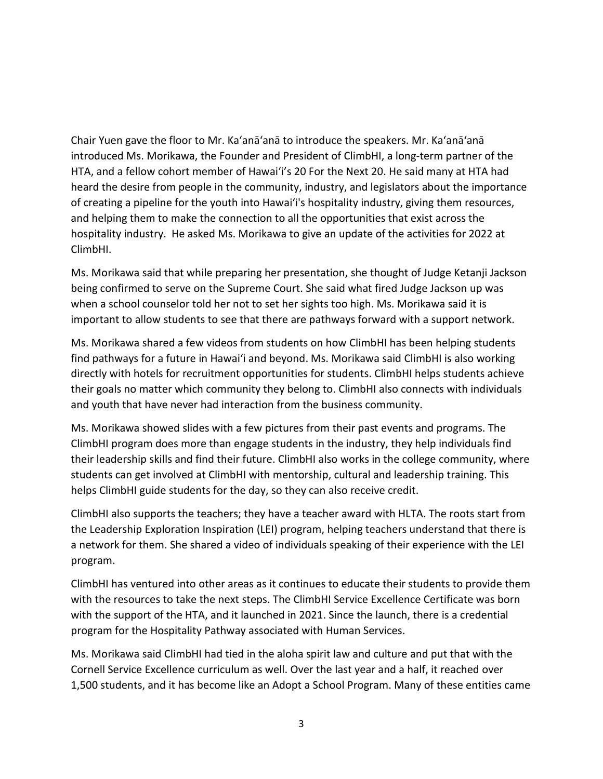Chair Yuen gave the floor to Mr. Ka'anā'anā to introduce the speakers. Mr. Ka'anā'anā introduced Ms. Morikawa, the Founder and President of ClimbHI, a long-term partner of the HTA, and a fellow cohort member of Hawai'i's 20 For the Next 20. He said many at HTA had heard the desire from people in the community, industry, and legislators about the importance of creating a pipeline for the youth into Hawai'i's hospitality industry, giving them resources, and helping them to make the connection to all the opportunities that exist across the hospitality industry. He asked Ms. Morikawa to give an update of the activities for 2022 at ClimbHI.

Ms. Morikawa said that while preparing her presentation, she thought of Judge Ketanji Jackson being confirmed to serve on the Supreme Court. She said what fired Judge Jackson up was when a school counselor told her not to set her sights too high. Ms. Morikawa said it is important to allow students to see that there are pathways forward with a support network.

Ms. Morikawa shared a few videos from students on how ClimbHI has been helping students find pathways for a future in Hawai'i and beyond. Ms. Morikawa said ClimbHI is also working directly with hotels for recruitment opportunities for students. ClimbHI helps students achieve their goals no matter which community they belong to. ClimbHI also connects with individuals and youth that have never had interaction from the business community.

Ms. Morikawa showed slides with a few pictures from their past events and programs. The ClimbHI program does more than engage students in the industry, they help individuals find their leadership skills and find their future. ClimbHI also works in the college community, where students can get involved at ClimbHI with mentorship, cultural and leadership training. This helps ClimbHI guide students for the day, so they can also receive credit.

ClimbHI also supports the teachers; they have a teacher award with HLTA. The roots start from the Leadership Exploration Inspiration (LEI) program, helping teachers understand that there is a network for them. She shared a video of individuals speaking of their experience with the LEI program.

ClimbHI has ventured into other areas as it continues to educate their students to provide them with the resources to take the next steps. The ClimbHI Service Excellence Certificate was born with the support of the HTA, and it launched in 2021. Since the launch, there is a credential program for the Hospitality Pathway associated with Human Services.

Ms. Morikawa said ClimbHI had tied in the aloha spirit law and culture and put that with the Cornell Service Excellence curriculum as well. Over the last year and a half, it reached over 1,500 students, and it has become like an Adopt a School Program. Many of these entities came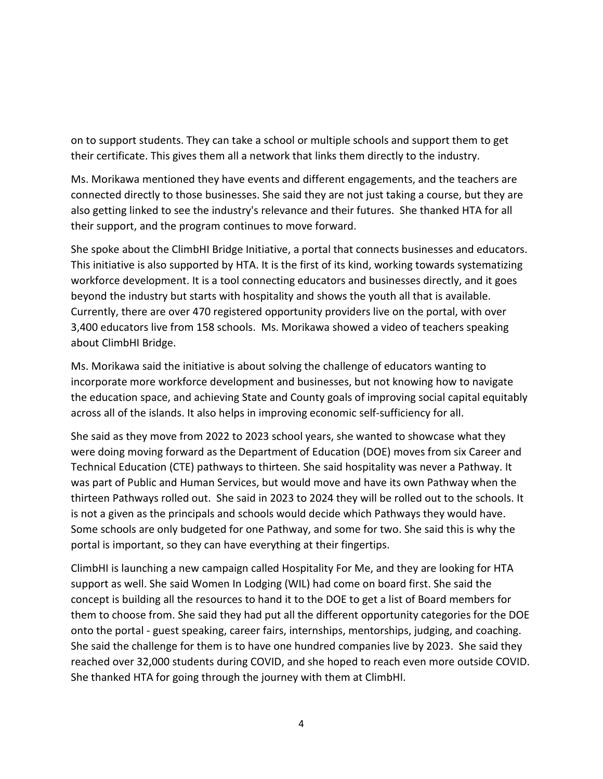on to support students. They can take a school or multiple schools and support them to get their certificate. This gives them all a network that links them directly to the industry.

Ms. Morikawa mentioned they have events and different engagements, and the teachers are connected directly to those businesses. She said they are not just taking a course, but they are also getting linked to see the industry's relevance and their futures. She thanked HTA for all their support, and the program continues to move forward.

She spoke about the ClimbHI Bridge Initiative, a portal that connects businesses and educators. This initiative is also supported by HTA. It is the first of its kind, working towards systematizing workforce development. It is a tool connecting educators and businesses directly, and it goes beyond the industry but starts with hospitality and shows the youth all that is available. Currently, there are over 470 registered opportunity providers live on the portal, with over 3,400 educators live from 158 schools. Ms. Morikawa showed a video of teachers speaking about ClimbHI Bridge.

Ms. Morikawa said the initiative is about solving the challenge of educators wanting to incorporate more workforce development and businesses, but not knowing how to navigate the education space, and achieving State and County goals of improving social capital equitably across all of the islands. It also helps in improving economic self-sufficiency for all.

She said as they move from 2022 to 2023 school years, she wanted to showcase what they were doing moving forward as the Department of Education (DOE) moves from six Career and Technical Education (CTE) pathways to thirteen. She said hospitality was never a Pathway. It was part of Public and Human Services, but would move and have its own Pathway when the thirteen Pathways rolled out. She said in 2023 to 2024 they will be rolled out to the schools. It is not a given as the principals and schools would decide which Pathways they would have. Some schools are only budgeted for one Pathway, and some for two. She said this is why the portal is important, so they can have everything at their fingertips.

ClimbHI is launching a new campaign called Hospitality For Me, and they are looking for HTA support as well. She said Women In Lodging (WIL) had come on board first. She said the concept is building all the resources to hand it to the DOE to get a list of Board members for them to choose from. She said they had put all the different opportunity categories for the DOE onto the portal - guest speaking, career fairs, internships, mentorships, judging, and coaching. She said the challenge for them is to have one hundred companies live by 2023. She said they reached over 32,000 students during COVID, and she hoped to reach even more outside COVID. She thanked HTA for going through the journey with them at ClimbHI.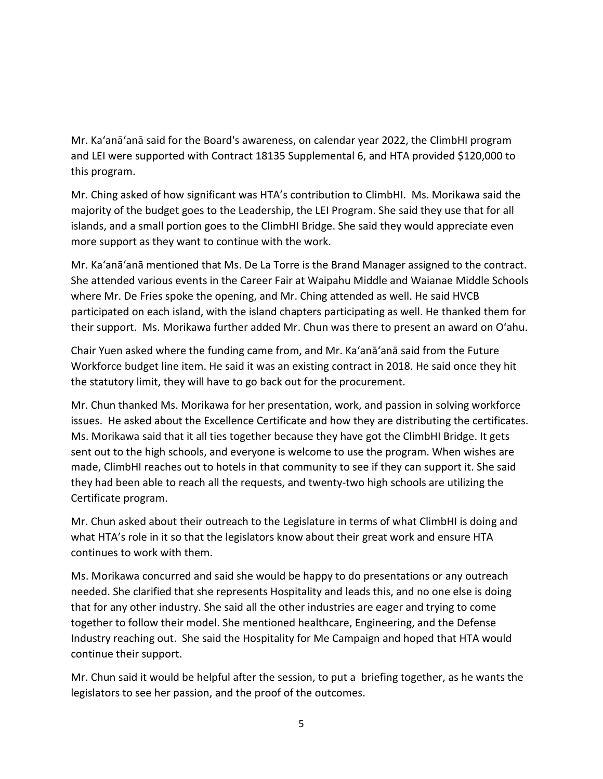Mr. Ka'anā'anā said for the Board's awareness, on calendar year 2022, the ClimbHI program and LEI were supported with Contract 18135 Supplemental 6, and HTA provided \$120,000 to this program.

Mr. Ching asked of how significant was HTA's contribution to ClimbHI. Ms. Morikawa said the majority of the budget goes to the Leadership, the LEI Program. She said they use that for all islands, and a small portion goes to the ClimbHI Bridge. She said they would appreciate even more support as they want to continue with the work.

Mr. Ka'anā'anā mentioned that Ms. De La Torre is the Brand Manager assigned to the contract. She attended various events in the Career Fair at Waipahu Middle and Waianae Middle Schools where Mr. De Fries spoke the opening, and Mr. Ching attended as well. He said HVCB participated on each island, with the island chapters participating as well. He thanked them for their support. Ms. Morikawa further added Mr. Chun was there to present an award on O'ahu.

Chair Yuen asked where the funding came from, and Mr. Ka'anā'anā said from the Future Workforce budget line item. He said it was an existing contract in 2018. He said once they hit the statutory limit, they will have to go back out for the procurement.

Mr. Chun thanked Ms. Morikawa for her presentation, work, and passion in solving workforce issues. He asked about the Excellence Certificate and how they are distributing the certificates. Ms. Morikawa said that it all ties together because they have got the ClimbHI Bridge. It gets sent out to the high schools, and everyone is welcome to use the program. When wishes are made, ClimbHI reaches out to hotels in that community to see if they can support it. She said they had been able to reach all the requests, and twenty-two high schools are utilizing the Certificate program.

Mr. Chun asked about their outreach to the Legislature in terms of what ClimbHI is doing and what HTA's role in it so that the legislators know about their great work and ensure HTA continues to work with them.

Ms. Morikawa concurred and said she would be happy to do presentations or any outreach needed. She clarified that she represents Hospitality and leads this, and no one else is doing that for any other industry. She said all the other industries are eager and trying to come together to follow their model. She mentioned healthcare, Engineering, and the Defense Industry reaching out. She said the Hospitality for Me Campaign and hoped that HTA would continue their support.

Mr. Chun said it would be helpful after the session, to put a briefing together, as he wants the legislators to see her passion, and the proof of the outcomes.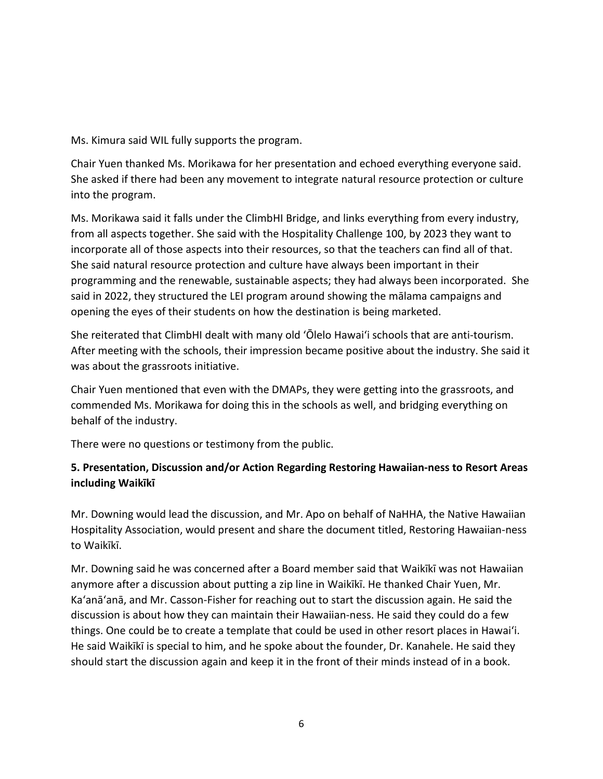Ms. Kimura said WIL fully supports the program.

Chair Yuen thanked Ms. Morikawa for her presentation and echoed everything everyone said. She asked if there had been any movement to integrate natural resource protection or culture into the program.

Ms. Morikawa said it falls under the ClimbHI Bridge, and links everything from every industry, from all aspects together. She said with the Hospitality Challenge 100, by 2023 they want to incorporate all of those aspects into their resources, so that the teachers can find all of that. She said natural resource protection and culture have always been important in their programming and the renewable, sustainable aspects; they had always been incorporated. She said in 2022, they structured the LEI program around showing the mālama campaigns and opening the eyes of their students on how the destination is being marketed.

She reiterated that ClimbHI dealt with many old ʻŌlelo Hawai'i schools that are anti-tourism. After meeting with the schools, their impression became positive about the industry. She said it was about the grassroots initiative.

Chair Yuen mentioned that even with the DMAPs, they were getting into the grassroots, and commended Ms. Morikawa for doing this in the schools as well, and bridging everything on behalf of the industry.

There were no questions or testimony from the public.

## **5. Presentation, Discussion and/or Action Regarding Restoring Hawaiian-ness to Resort Areas including Waikīkī**

Mr. Downing would lead the discussion, and Mr. Apo on behalf of NaHHA, the Native Hawaiian Hospitality Association, would present and share the document titled, Restoring Hawaiian-ness to Waikīkī.

Mr. Downing said he was concerned after a Board member said that Waikīkī was not Hawaiian anymore after a discussion about putting a zip line in Waikīkī. He thanked Chair Yuen, Mr. Ka'anā'anā, and Mr. Casson-Fisher for reaching out to start the discussion again. He said the discussion is about how they can maintain their Hawaiian-ness. He said they could do a few things. One could be to create a template that could be used in other resort places in Hawai'i. He said Waikīkī is special to him, and he spoke about the founder, Dr. Kanahele. He said they should start the discussion again and keep it in the front of their minds instead of in a book.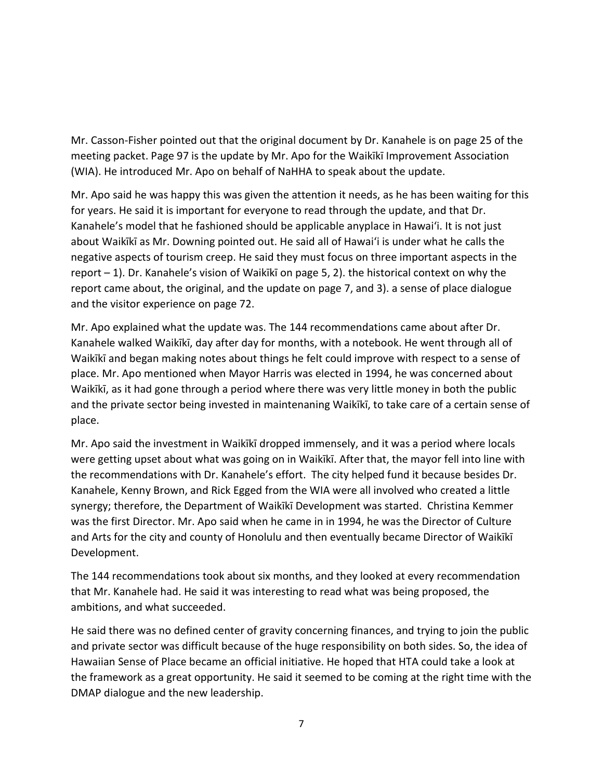Mr. Casson-Fisher pointed out that the original document by Dr. Kanahele is on page 25 of the meeting packet. Page 97 is the update by Mr. Apo for the Waikīkī Improvement Association (WIA). He introduced Mr. Apo on behalf of NaHHA to speak about the update.

Mr. Apo said he was happy this was given the attention it needs, as he has been waiting for this for years. He said it is important for everyone to read through the update, and that Dr. Kanahele's model that he fashioned should be applicable anyplace in Hawai'i. It is not just about Waikīkī as Mr. Downing pointed out. He said all of Hawai'i is under what he calls the negative aspects of tourism creep. He said they must focus on three important aspects in the report – 1). Dr. Kanahele's vision of Waikīkī on page 5, 2). the historical context on why the report came about, the original, and the update on page 7, and 3). a sense of place dialogue and the visitor experience on page 72.

Mr. Apo explained what the update was. The 144 recommendations came about after Dr. Kanahele walked Waikīkī, day after day for months, with a notebook. He went through all of Waikīkī and began making notes about things he felt could improve with respect to a sense of place. Mr. Apo mentioned when Mayor Harris was elected in 1994, he was concerned about Waikīkī, as it had gone through a period where there was very little money in both the public and the private sector being invested in maintenaning Waikīkī, to take care of a certain sense of place.

Mr. Apo said the investment in Waikīkī dropped immensely, and it was a period where locals were getting upset about what was going on in Waikīkī. After that, the mayor fell into line with the recommendations with Dr. Kanahele's effort. The city helped fund it because besides Dr. Kanahele, Kenny Brown, and Rick Egged from the WIA were all involved who created a little synergy; therefore, the Department of Waikīkī Development was started. Christina Kemmer was the first Director. Mr. Apo said when he came in in 1994, he was the Director of Culture and Arts for the city and county of Honolulu and then eventually became Director of Waikīkī Development.

The 144 recommendations took about six months, and they looked at every recommendation that Mr. Kanahele had. He said it was interesting to read what was being proposed, the ambitions, and what succeeded.

He said there was no defined center of gravity concerning finances, and trying to join the public and private sector was difficult because of the huge responsibility on both sides. So, the idea of Hawaiian Sense of Place became an official initiative. He hoped that HTA could take a look at the framework as a great opportunity. He said it seemed to be coming at the right time with the DMAP dialogue and the new leadership.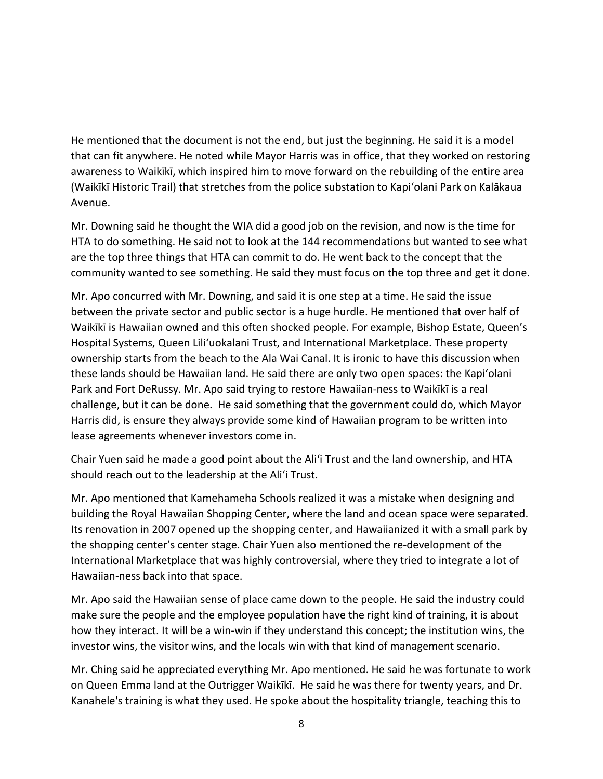He mentioned that the document is not the end, but just the beginning. He said it is a model that can fit anywhere. He noted while Mayor Harris was in office, that they worked on restoring awareness to Waikīkī, which inspired him to move forward on the rebuilding of the entire area (Waikīkī Historic Trail) that stretches from the police substation to Kapi'olani Park on Kalākaua Avenue.

Mr. Downing said he thought the WIA did a good job on the revision, and now is the time for HTA to do something. He said not to look at the 144 recommendations but wanted to see what are the top three things that HTA can commit to do. He went back to the concept that the community wanted to see something. He said they must focus on the top three and get it done.

Mr. Apo concurred with Mr. Downing, and said it is one step at a time. He said the issue between the private sector and public sector is a huge hurdle. He mentioned that over half of Waikīkī is Hawaiian owned and this often shocked people. For example, Bishop Estate, Queen's Hospital Systems, Queen Lili'uokalani Trust, and International Marketplace. These property ownership starts from the beach to the Ala Wai Canal. It is ironic to have this discussion when these lands should be Hawaiian land. He said there are only two open spaces: the Kapi'olani Park and Fort DeRussy. Mr. Apo said trying to restore Hawaiian-ness to Waikīkī is a real challenge, but it can be done. He said something that the government could do, which Mayor Harris did, is ensure they always provide some kind of Hawaiian program to be written into lease agreements whenever investors come in.

Chair Yuen said he made a good point about the Ali'i Trust and the land ownership, and HTA should reach out to the leadership at the Ali'i Trust.

Mr. Apo mentioned that Kamehameha Schools realized it was a mistake when designing and building the Royal Hawaiian Shopping Center, where the land and ocean space were separated. Its renovation in 2007 opened up the shopping center, and Hawaiianized it with a small park by the shopping center's center stage. Chair Yuen also mentioned the re-development of the International Marketplace that was highly controversial, where they tried to integrate a lot of Hawaiian-ness back into that space.

Mr. Apo said the Hawaiian sense of place came down to the people. He said the industry could make sure the people and the employee population have the right kind of training, it is about how they interact. It will be a win-win if they understand this concept; the institution wins, the investor wins, the visitor wins, and the locals win with that kind of management scenario.

Mr. Ching said he appreciated everything Mr. Apo mentioned. He said he was fortunate to work on Queen Emma land at the Outrigger Waikīkī. He said he was there for twenty years, and Dr. Kanahele's training is what they used. He spoke about the hospitality triangle, teaching this to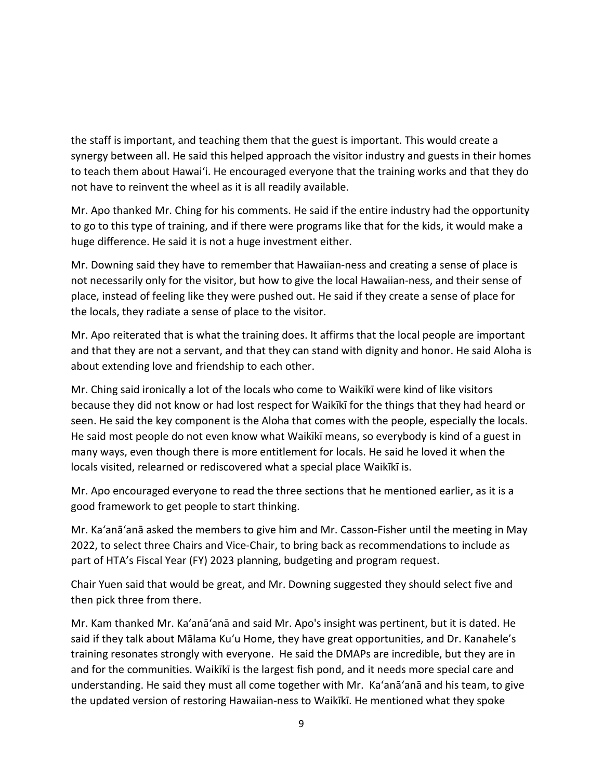the staff is important, and teaching them that the guest is important. This would create a synergy between all. He said this helped approach the visitor industry and guests in their homes to teach them about Hawai'i. He encouraged everyone that the training works and that they do not have to reinvent the wheel as it is all readily available.

Mr. Apo thanked Mr. Ching for his comments. He said if the entire industry had the opportunity to go to this type of training, and if there were programs like that for the kids, it would make a huge difference. He said it is not a huge investment either.

Mr. Downing said they have to remember that Hawaiian-ness and creating a sense of place is not necessarily only for the visitor, but how to give the local Hawaiian-ness, and their sense of place, instead of feeling like they were pushed out. He said if they create a sense of place for the locals, they radiate a sense of place to the visitor.

Mr. Apo reiterated that is what the training does. It affirms that the local people are important and that they are not a servant, and that they can stand with dignity and honor. He said Aloha is about extending love and friendship to each other.

Mr. Ching said ironically a lot of the locals who come to Waikīkī were kind of like visitors because they did not know or had lost respect for Waikīkī for the things that they had heard or seen. He said the key component is the Aloha that comes with the people, especially the locals. He said most people do not even know what Waikīkī means, so everybody is kind of a guest in many ways, even though there is more entitlement for locals. He said he loved it when the locals visited, relearned or rediscovered what a special place Waikīkī is.

Mr. Apo encouraged everyone to read the three sections that he mentioned earlier, as it is a good framework to get people to start thinking.

Mr. Ka'anā'anā asked the members to give him and Mr. Casson-Fisher until the meeting in May 2022, to select three Chairs and Vice-Chair, to bring back as recommendations to include as part of HTA's Fiscal Year (FY) 2023 planning, budgeting and program request.

Chair Yuen said that would be great, and Mr. Downing suggested they should select five and then pick three from there.

Mr. Kam thanked Mr. Ka'anā'anā and said Mr. Apo's insight was pertinent, but it is dated. He said if they talk about Mālama Kuʻu Home, they have great opportunities, and Dr. Kanahele's training resonates strongly with everyone. He said the DMAPs are incredible, but they are in and for the communities. Waikīkī is the largest fish pond, and it needs more special care and understanding. He said they must all come together with Mr. Ka'anā'anā and his team, to give the updated version of restoring Hawaiian-ness to Waikīkī. He mentioned what they spoke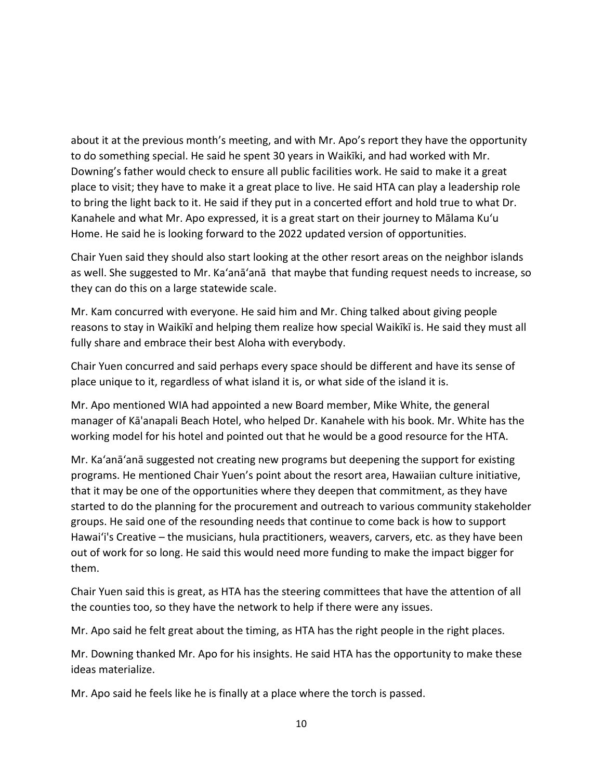about it at the previous month's meeting, and with Mr. Apo's report they have the opportunity to do something special. He said he spent 30 years in Waikīki, and had worked with Mr. Downing's father would check to ensure all public facilities work. He said to make it a great place to visit; they have to make it a great place to live. He said HTA can play a leadership role to bring the light back to it. He said if they put in a concerted effort and hold true to what Dr. Kanahele and what Mr. Apo expressed, it is a great start on their journey to Mālama Kuʻu Home. He said he is looking forward to the 2022 updated version of opportunities.

Chair Yuen said they should also start looking at the other resort areas on the neighbor islands as well. She suggested to Mr. Ka'anā'anā that maybe that funding request needs to increase, so they can do this on a large statewide scale.

Mr. Kam concurred with everyone. He said him and Mr. Ching talked about giving people reasons to stay in Waikīkī and helping them realize how special Waikīkī is. He said they must all fully share and embrace their best Aloha with everybody.

Chair Yuen concurred and said perhaps every space should be different and have its sense of place unique to it, regardless of what island it is, or what side of the island it is.

Mr. Apo mentioned WIA had appointed a new Board member, Mike White, the general manager of Kā'anapali Beach Hotel, who helped Dr. Kanahele with his book. Mr. White has the working model for his hotel and pointed out that he would be a good resource for the HTA.

Mr. Ka'anā'anā suggested not creating new programs but deepening the support for existing programs. He mentioned Chair Yuen's point about the resort area, Hawaiian culture initiative, that it may be one of the opportunities where they deepen that commitment, as they have started to do the planning for the procurement and outreach to various community stakeholder groups. He said one of the resounding needs that continue to come back is how to support Hawai'i's Creative – the musicians, hula practitioners, weavers, carvers, etc. as they have been out of work for so long. He said this would need more funding to make the impact bigger for them.

Chair Yuen said this is great, as HTA has the steering committees that have the attention of all the counties too, so they have the network to help if there were any issues.

Mr. Apo said he felt great about the timing, as HTA has the right people in the right places.

Mr. Downing thanked Mr. Apo for his insights. He said HTA has the opportunity to make these ideas materialize.

Mr. Apo said he feels like he is finally at a place where the torch is passed.